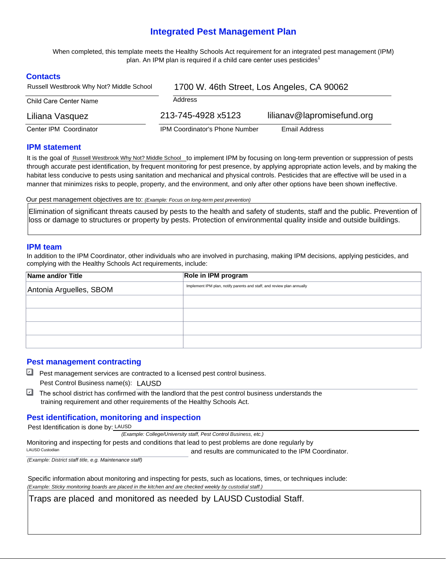# **Integrated Pest Management Plan**

 When completed, this template meets the Healthy Schools Act requirement for an integrated pest management (IPM) plan. An IPM plan is required if a child care center uses pesticides $^{\text{1}}$ 

# **Contacts**

| Russell Westbrook Why Not? Middle School | 1700 W. 46th Street, Los Angeles, CA 90062 |                            |  |  |  |
|------------------------------------------|--------------------------------------------|----------------------------|--|--|--|
| Child Care Center Name                   | Address                                    |                            |  |  |  |
| Liliana Vasquez                          | 213-745-4928 x5123                         | lilianav@lapromisefund.org |  |  |  |
| Center IPM Coordinator                   | <b>IPM Coordinator's Phone Number</b>      | Email Address              |  |  |  |

#### **IPM statement**

It is the goal of Russell Westbrook Why Not? Middle School to implement IPM by focusing on long-term prevention or suppression of pests through accurate pest identification, by frequent monitoring for pest presence, by applying appropriate action levels, and by making the habitat less conducive to pests using sanitation and mechanical and physical controls. Pesticides that are effective will be used in a manner that minimizes risks to people, property, and the environment, and only after other options have been shown ineffective.

Our pest management objectives are to: *(Example: Focus on long-term pest prevention)* 

Elimination of significant threats caused by pests to the health and safety of students, staff and the public. Prevention of loss or damage to structures or property by pests. Protection of environmental quality inside and outside buildings.

#### **IPM team**

In addition to the IPM Coordinator, other individuals who are involved in purchasing, making IPM decisions, applying pesticides, and complying with the Healthy Schools Act requirements, include:

| Name and/or Title       | Role in IPM program                                                    |  |  |
|-------------------------|------------------------------------------------------------------------|--|--|
| Antonia Arguelles, SBOM | Implement IPM plan, notify parents and staff, and review plan annually |  |  |
|                         |                                                                        |  |  |
|                         |                                                                        |  |  |
|                         |                                                                        |  |  |
|                         |                                                                        |  |  |

# **Pest management contracting**

- Pest management services are contracted to a licensed pest control business. Pest Control Business name(s): LAUSD
- $\Box$  The school district has confirmed with the landlord that the pest control business understands the training requirement and other requirements of the Healthy Schools Act.  $\Box$

# **Pest identification, monitoring and inspection**

Pest Identification is done by: LAUSD

 *(Example: College/University staff, Pest Control Business, etc.)* 

 and results are communicated to the IPM Coordinator. Monitoring and inspecting for pests and conditions that lead to pest problems are done regularly by LAUSD Custodian

*(Example: District staff title, e.g. Maintenance staff)* 

 Specific information about monitoring and inspecting for pests, such as locations, times, or techniques include:  *(Example: Sticky monitoring boards are placed in the kitchen and are checked weekly by custodial staff.)* 

Traps are placed and monitored as needed by LAUSD Custodial Staff.